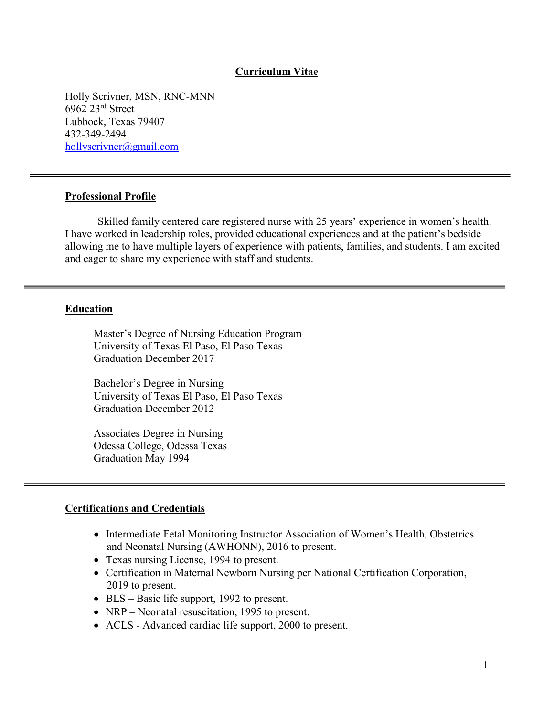#### **Curriculum Vitae**

Holly Scrivner, MSN, RNC-MNN 6962 23rd Street Lubbock, Texas 79407 432-349-2494 [hollyscrivner@gmail.com](mailto:hollyscrivner@gmail.com)

#### **Professional Profile**

Skilled family centered care registered nurse with 25 years' experience in women's health. I have worked in leadership roles, provided educational experiences and at the patient's bedside allowing me to have multiple layers of experience with patients, families, and students. I am excited and eager to share my experience with staff and students.

#### **Education**

Master's Degree of Nursing Education Program University of Texas El Paso, El Paso Texas Graduation December 2017

Bachelor's Degree in Nursing University of Texas El Paso, El Paso Texas Graduation December 2012

Associates Degree in Nursing Odessa College, Odessa Texas Graduation May 1994

#### **Certifications and Credentials**

- Intermediate Fetal Monitoring Instructor Association of Women's Health, Obstetrics and Neonatal Nursing (AWHONN), 2016 to present.
- Texas nursing License, 1994 to present.
- Certification in Maternal Newborn Nursing per National Certification Corporation, 2019 to present.
- BLS Basic life support, 1992 to present.
- NRP Neonatal resuscitation, 1995 to present.
- ACLS Advanced cardiac life support, 2000 to present.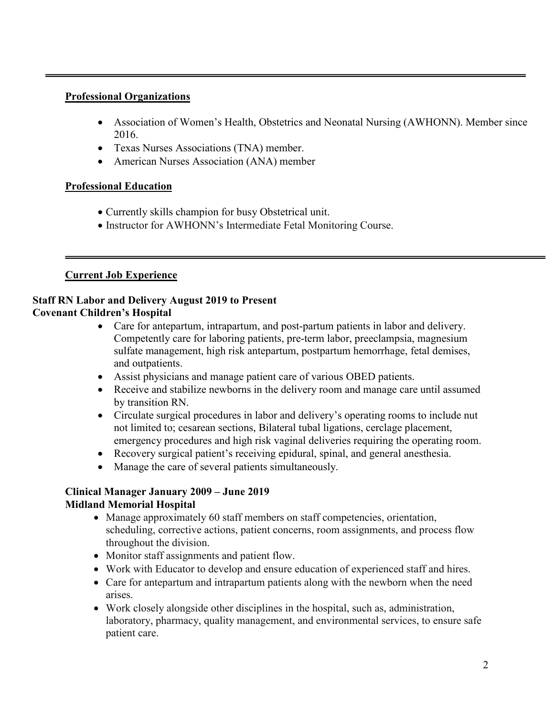### **Professional Organizations**

- Association of Women's Health, Obstetrics and Neonatal Nursing (AWHONN). Member since 2016.
- Texas Nurses Associations (TNA) member.
- American Nurses Association (ANA) member

# **Professional Education**

- Currently skills champion for busy Obstetrical unit.
- Instructor for AWHONN's Intermediate Fetal Monitoring Course.

# **Current Job Experience**

### **Staff RN Labor and Delivery August 2019 to Present Covenant Children's Hospital**

- Care for antepartum, intrapartum, and post-partum patients in labor and delivery. Competently care for laboring patients, pre-term labor, preeclampsia, magnesium sulfate management, high risk antepartum, postpartum hemorrhage, fetal demises, and outpatients.
- Assist physicians and manage patient care of various OBED patients.
- Receive and stabilize newborns in the delivery room and manage care until assumed by transition RN.
- Circulate surgical procedures in labor and delivery's operating rooms to include nut not limited to; cesarean sections, Bilateral tubal ligations, cerclage placement, emergency procedures and high risk vaginal deliveries requiring the operating room.
- Recovery surgical patient's receiving epidural, spinal, and general anesthesia.
- Manage the care of several patients simultaneously.

# **Clinical Manager January 2009 – June 2019 Midland Memorial Hospital**

- Manage approximately 60 staff members on staff competencies, orientation, scheduling, corrective actions, patient concerns, room assignments, and process flow throughout the division.
- Monitor staff assignments and patient flow.
- Work with Educator to develop and ensure education of experienced staff and hires.
- Care for antepartum and intrapartum patients along with the newborn when the need arises.
- Work closely alongside other disciplines in the hospital, such as, administration, laboratory, pharmacy, quality management, and environmental services, to ensure safe patient care.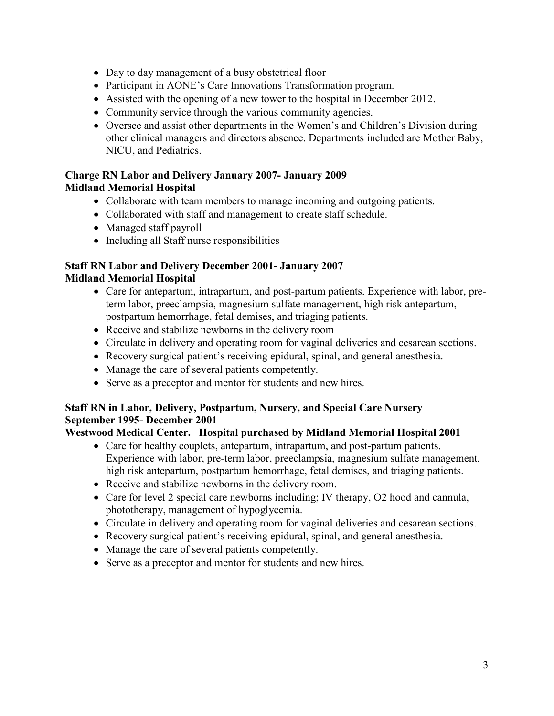- Day to day management of a busy obstetrical floor
- Participant in AONE's Care Innovations Transformation program.
- Assisted with the opening of a new tower to the hospital in December 2012.
- Community service through the various community agencies.
- Oversee and assist other departments in the Women's and Children's Division during other clinical managers and directors absence. Departments included are Mother Baby, NICU, and Pediatrics.

## **Charge RN Labor and Delivery January 2007- January 2009 Midland Memorial Hospital**

- Collaborate with team members to manage incoming and outgoing patients.
- Collaborated with staff and management to create staff schedule.
- Managed staff payroll
- Including all Staff nurse responsibilities

# **Staff RN Labor and Delivery December 2001- January 2007 Midland Memorial Hospital**

- Care for antepartum, intrapartum, and post-partum patients. Experience with labor, preterm labor, preeclampsia, magnesium sulfate management, high risk antepartum, postpartum hemorrhage, fetal demises, and triaging patients.
- Receive and stabilize newborns in the delivery room
- Circulate in delivery and operating room for vaginal deliveries and cesarean sections.
- Recovery surgical patient's receiving epidural, spinal, and general anesthesia.
- Manage the care of several patients competently.
- Serve as a preceptor and mentor for students and new hires.

# **Staff RN in Labor, Delivery, Postpartum, Nursery, and Special Care Nursery September 1995- December 2001**

# **Westwood Medical Center. Hospital purchased by Midland Memorial Hospital 2001**

- Care for healthy couplets, antepartum, intrapartum, and post-partum patients. Experience with labor, pre-term labor, preeclampsia, magnesium sulfate management, high risk antepartum, postpartum hemorrhage, fetal demises, and triaging patients.
- Receive and stabilize newborns in the delivery room.
- Care for level 2 special care newborns including; IV therapy, O2 hood and cannula, phototherapy, management of hypoglycemia.
- Circulate in delivery and operating room for vaginal deliveries and cesarean sections.
- Recovery surgical patient's receiving epidural, spinal, and general anesthesia.
- Manage the care of several patients competently.
- Serve as a preceptor and mentor for students and new hires.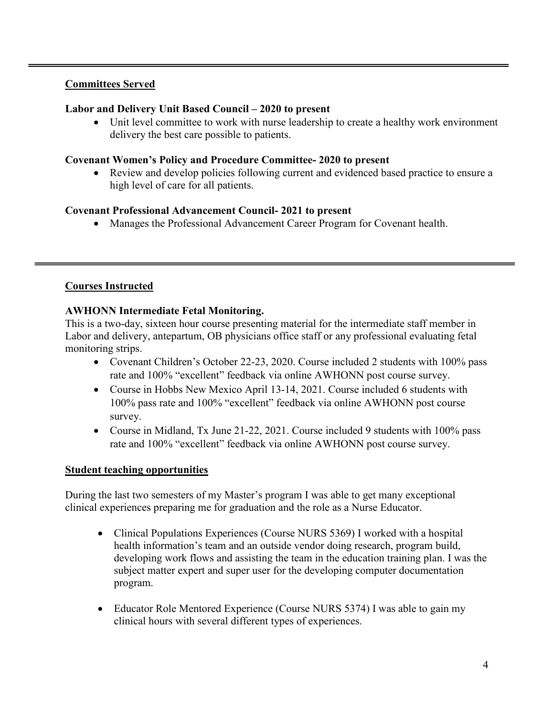### **Committees Served**

### **Labor and Delivery Unit Based Council – 2020 to present**

Unit level committee to work with nurse leadership to create a healthy work environment delivery the best care possible to patients.

### **Covenant Women's Policy and Procedure Committee- 2020 to present**

• Review and develop policies following current and evidenced based practice to ensure a high level of care for all patients.

### **Covenant Professional Advancement Council- 2021 to present**

• Manages the Professional Advancement Career Program for Covenant health.

### **Courses Instructed**

### **AWHONN Intermediate Fetal Monitoring.**

This is a two-day, sixteen hour course presenting material for the intermediate staff member in Labor and delivery, antepartum, OB physicians office staff or any professional evaluating fetal monitoring strips.

- Covenant Children's October 22-23, 2020. Course included 2 students with 100% pass rate and 100% "excellent" feedback via online AWHONN post course survey.
- Course in Hobbs New Mexico April 13-14, 2021. Course included 6 students with 100% pass rate and 100% "excellent" feedback via online AWHONN post course survey.
- Course in Midland, Tx June 21-22, 2021. Course included 9 students with 100% pass rate and 100% "excellent" feedback via online AWHONN post course survey.

#### **Student teaching opportunities**

During the last two semesters of my Master's program I was able to get many exceptional clinical experiences preparing me for graduation and the role as a Nurse Educator.

- Clinical Populations Experiences (Course NURS 5369) I worked with a hospital health information's team and an outside vendor doing research, program build, developing work flows and assisting the team in the education training plan. I was the subject matter expert and super user for the developing computer documentation program.
- Educator Role Mentored Experience (Course NURS 5374) I was able to gain my clinical hours with several different types of experiences.